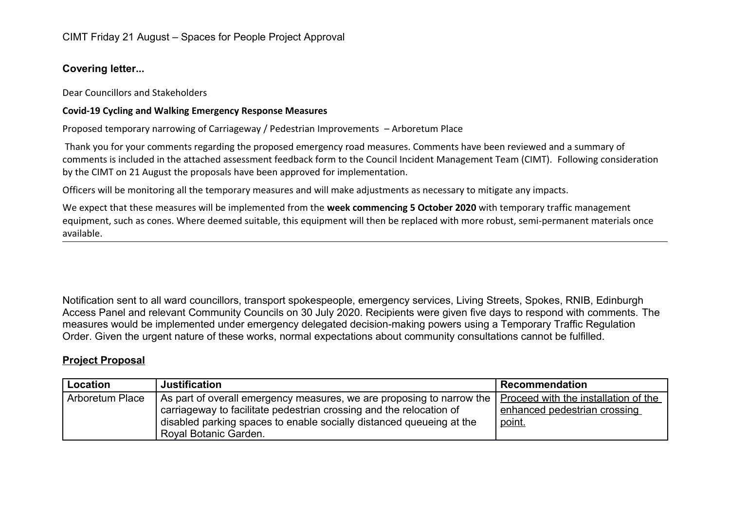## **Covering letter...**

Dear Councillors and Stakeholders

## **Covid-19 Cycling and Walking Emergency Response Measures**

Proposed temporary narrowing of Carriageway / Pedestrian Improvements – Arboretum Place

Thank you for your comments regarding the proposed emergency road measures. Comments have been reviewed and a summary of comments is included in the attached assessment feedback form to the Council Incident Management Team (CIMT). Following consideration by the CIMT on 21 August the proposals have been approved for implementation.

Officers will be monitoring all the temporary measures and will make adjustments as necessary to mitigate any impacts.

We expect that these measures will be implemented from the **week commencing 5 October 2020** with temporary traffic management equipment, such as cones. Where deemed suitable, this equipment will then be replaced with more robust, semi-permanent materials once available.

Notification sent to all ward councillors, transport spokespeople, emergency services, Living Streets, Spokes, RNIB, Edinburgh Access Panel and relevant Community Councils on 30 July 2020. Recipients were given five days to respond with comments. The measures would be implemented under emergency delegated decision-making powers using a Temporary Traffic Regulation Order. Given the urgent nature of these works, normal expectations about community consultations cannot be fulfilled.

## **Project Proposal**

| Location        | <b>Justification</b>                                                                                                                                                                                                                                                                                    | Recommendation                                |
|-----------------|---------------------------------------------------------------------------------------------------------------------------------------------------------------------------------------------------------------------------------------------------------------------------------------------------------|-----------------------------------------------|
| Arboretum Place | $\mid$ As part of overall emergency measures, we are proposing to narrow the $\mid$ <u>Proceed with the installation of the</u><br>carriageway to facilitate pedestrian crossing and the relocation of<br>disabled parking spaces to enable socially distanced queueing at the<br>Royal Botanic Garden. | enhanced pedestrian crossing<br><u>point.</u> |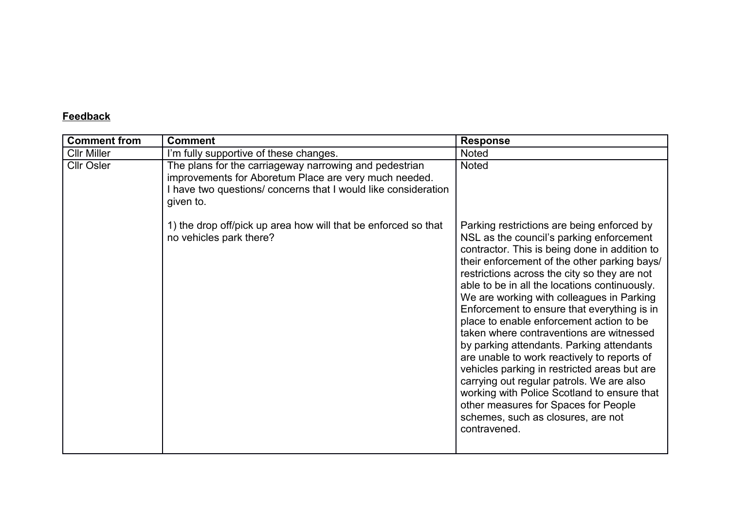## **Feedback**

| <b>Comment from</b> | <b>Comment</b>                                                                                                                                                                                 | <b>Response</b>                                                                                                                                                                                                                                                                                                                                                                                                                                                                                                                                                                                                                                                                                                                                                                                                    |
|---------------------|------------------------------------------------------------------------------------------------------------------------------------------------------------------------------------------------|--------------------------------------------------------------------------------------------------------------------------------------------------------------------------------------------------------------------------------------------------------------------------------------------------------------------------------------------------------------------------------------------------------------------------------------------------------------------------------------------------------------------------------------------------------------------------------------------------------------------------------------------------------------------------------------------------------------------------------------------------------------------------------------------------------------------|
| <b>Cllr Miller</b>  | I'm fully supportive of these changes.                                                                                                                                                         | <b>Noted</b>                                                                                                                                                                                                                                                                                                                                                                                                                                                                                                                                                                                                                                                                                                                                                                                                       |
| <b>Cllr Osler</b>   | The plans for the carriageway narrowing and pedestrian<br>improvements for Aboretum Place are very much needed.<br>I have two questions/ concerns that I would like consideration<br>given to. | <b>Noted</b>                                                                                                                                                                                                                                                                                                                                                                                                                                                                                                                                                                                                                                                                                                                                                                                                       |
|                     | 1) the drop off/pick up area how will that be enforced so that<br>no vehicles park there?                                                                                                      | Parking restrictions are being enforced by<br>NSL as the council's parking enforcement<br>contractor. This is being done in addition to<br>their enforcement of the other parking bays/<br>restrictions across the city so they are not<br>able to be in all the locations continuously.<br>We are working with colleagues in Parking<br>Enforcement to ensure that everything is in<br>place to enable enforcement action to be<br>taken where contraventions are witnessed<br>by parking attendants. Parking attendants<br>are unable to work reactively to reports of<br>vehicles parking in restricted areas but are<br>carrying out regular patrols. We are also<br>working with Police Scotland to ensure that<br>other measures for Spaces for People<br>schemes, such as closures, are not<br>contravened. |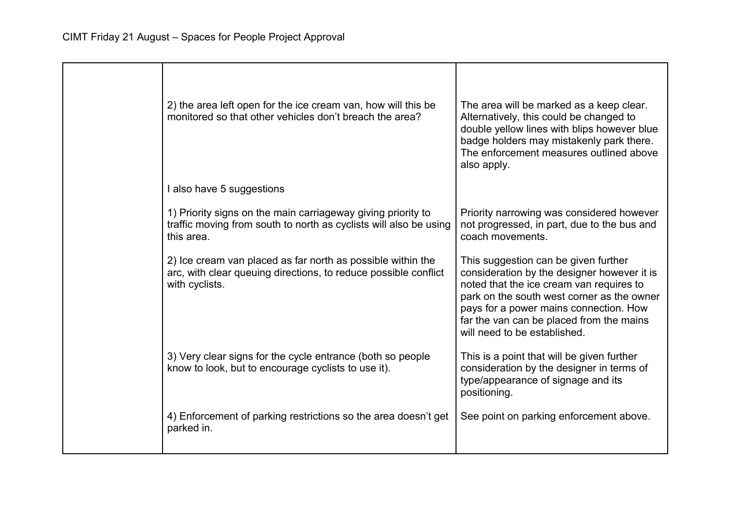| 2) the area left open for the ice cream van, how will this be<br>monitored so that other vehicles don't breach the area?                         | The area will be marked as a keep clear.<br>Alternatively, this could be changed to<br>double yellow lines with blips however blue<br>badge holders may mistakenly park there.<br>The enforcement measures outlined above<br>also apply.                                                            |
|--------------------------------------------------------------------------------------------------------------------------------------------------|-----------------------------------------------------------------------------------------------------------------------------------------------------------------------------------------------------------------------------------------------------------------------------------------------------|
| I also have 5 suggestions                                                                                                                        |                                                                                                                                                                                                                                                                                                     |
| 1) Priority signs on the main carriageway giving priority to<br>traffic moving from south to north as cyclists will also be using<br>this area.  | Priority narrowing was considered however<br>not progressed, in part, due to the bus and<br>coach movements.                                                                                                                                                                                        |
| 2) Ice cream van placed as far north as possible within the<br>arc, with clear queuing directions, to reduce possible conflict<br>with cyclists. | This suggestion can be given further<br>consideration by the designer however it is<br>noted that the ice cream van requires to<br>park on the south west corner as the owner<br>pays for a power mains connection. How<br>far the van can be placed from the mains<br>will need to be established. |
| 3) Very clear signs for the cycle entrance (both so people<br>know to look, but to encourage cyclists to use it).                                | This is a point that will be given further<br>consideration by the designer in terms of<br>type/appearance of signage and its<br>positioning.                                                                                                                                                       |
| 4) Enforcement of parking restrictions so the area doesn't get<br>parked in.                                                                     | See point on parking enforcement above.                                                                                                                                                                                                                                                             |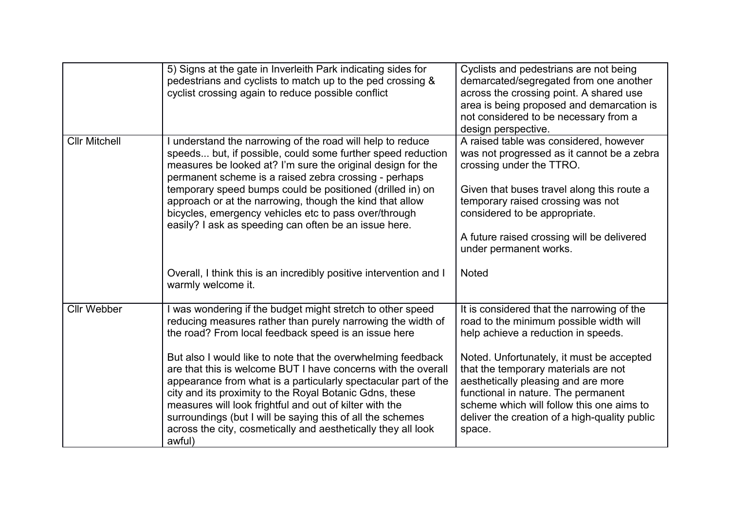|                      | 5) Signs at the gate in Inverleith Park indicating sides for<br>pedestrians and cyclists to match up to the ped crossing &<br>cyclist crossing again to reduce possible conflict                                                                                                                                                                                                                                                                                                                                                                                                                                                                    | Cyclists and pedestrians are not being<br>demarcated/segregated from one another<br>across the crossing point. A shared use<br>area is being proposed and demarcation is<br>not considered to be necessary from a<br>design perspective.                                                                                                                                                                |
|----------------------|-----------------------------------------------------------------------------------------------------------------------------------------------------------------------------------------------------------------------------------------------------------------------------------------------------------------------------------------------------------------------------------------------------------------------------------------------------------------------------------------------------------------------------------------------------------------------------------------------------------------------------------------------------|---------------------------------------------------------------------------------------------------------------------------------------------------------------------------------------------------------------------------------------------------------------------------------------------------------------------------------------------------------------------------------------------------------|
| <b>Cllr Mitchell</b> | I understand the narrowing of the road will help to reduce<br>speeds but, if possible, could some further speed reduction<br>measures be looked at? I'm sure the original design for the<br>permanent scheme is a raised zebra crossing - perhaps<br>temporary speed bumps could be positioned (drilled in) on<br>approach or at the narrowing, though the kind that allow<br>bicycles, emergency vehicles etc to pass over/through<br>easily? I ask as speeding can often be an issue here.                                                                                                                                                        | A raised table was considered, however<br>was not progressed as it cannot be a zebra<br>crossing under the TTRO.<br>Given that buses travel along this route a<br>temporary raised crossing was not<br>considered to be appropriate.<br>A future raised crossing will be delivered<br>under permanent works.                                                                                            |
|                      | Overall, I think this is an incredibly positive intervention and I<br>warmly welcome it.                                                                                                                                                                                                                                                                                                                                                                                                                                                                                                                                                            | <b>Noted</b>                                                                                                                                                                                                                                                                                                                                                                                            |
| <b>Cllr Webber</b>   | I was wondering if the budget might stretch to other speed<br>reducing measures rather than purely narrowing the width of<br>the road? From local feedback speed is an issue here<br>But also I would like to note that the overwhelming feedback<br>are that this is welcome BUT I have concerns with the overall<br>appearance from what is a particularly spectacular part of the<br>city and its proximity to the Royal Botanic Gdns, these<br>measures will look frightful and out of kilter with the<br>surroundings (but I will be saying this of all the schemes<br>across the city, cosmetically and aesthetically they all look<br>awful) | It is considered that the narrowing of the<br>road to the minimum possible width will<br>help achieve a reduction in speeds.<br>Noted. Unfortunately, it must be accepted<br>that the temporary materials are not<br>aesthetically pleasing and are more<br>functional in nature. The permanent<br>scheme which will follow this one aims to<br>deliver the creation of a high-quality public<br>space. |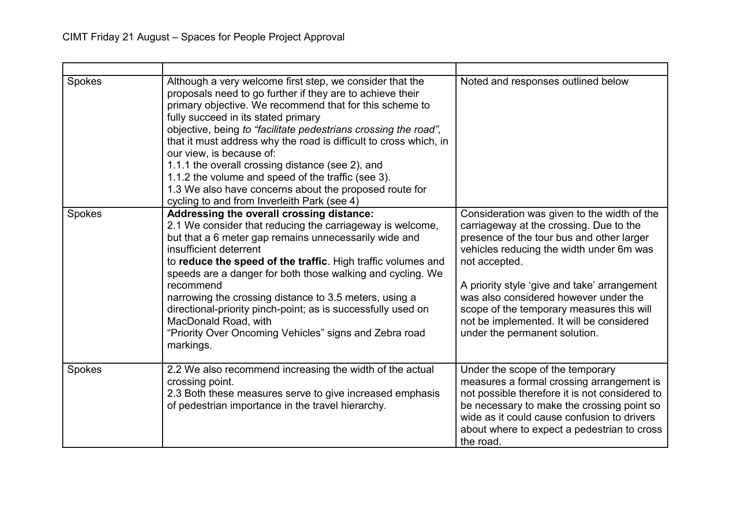| Spokes | Although a very welcome first step, we consider that the<br>proposals need to go further if they are to achieve their<br>primary objective. We recommend that for this scheme to<br>fully succeed in its stated primary<br>objective, being to "facilitate pedestrians crossing the road",<br>that it must address why the road is difficult to cross which, in<br>our view, is because of:<br>1.1.1 the overall crossing distance (see 2), and<br>1.1.2 the volume and speed of the traffic (see 3).<br>1.3 We also have concerns about the proposed route for<br>cycling to and from Inverleith Park (see 4) | Noted and responses outlined below                                                                                                                                                                                                                                                                                                                                                                                   |
|--------|----------------------------------------------------------------------------------------------------------------------------------------------------------------------------------------------------------------------------------------------------------------------------------------------------------------------------------------------------------------------------------------------------------------------------------------------------------------------------------------------------------------------------------------------------------------------------------------------------------------|----------------------------------------------------------------------------------------------------------------------------------------------------------------------------------------------------------------------------------------------------------------------------------------------------------------------------------------------------------------------------------------------------------------------|
| Spokes | Addressing the overall crossing distance:<br>2.1 We consider that reducing the carriageway is welcome,<br>but that a 6 meter gap remains unnecessarily wide and<br>insufficient deterrent<br>to reduce the speed of the traffic. High traffic volumes and<br>speeds are a danger for both those walking and cycling. We<br>recommend<br>narrowing the crossing distance to 3.5 meters, using a<br>directional-priority pinch-point; as is successfully used on<br>MacDonald Road, with<br>"Priority Over Oncoming Vehicles" signs and Zebra road<br>markings.                                                  | Consideration was given to the width of the<br>carriageway at the crossing. Due to the<br>presence of the tour bus and other larger<br>vehicles reducing the width under 6m was<br>not accepted.<br>A priority style 'give and take' arrangement<br>was also considered however under the<br>scope of the temporary measures this will<br>not be implemented. It will be considered<br>under the permanent solution. |
| Spokes | 2.2 We also recommend increasing the width of the actual<br>crossing point.<br>2.3 Both these measures serve to give increased emphasis<br>of pedestrian importance in the travel hierarchy.                                                                                                                                                                                                                                                                                                                                                                                                                   | Under the scope of the temporary<br>measures a formal crossing arrangement is<br>not possible therefore it is not considered to<br>be necessary to make the crossing point so<br>wide as it could cause confusion to drivers<br>about where to expect a pedestrian to cross<br>the road.                                                                                                                             |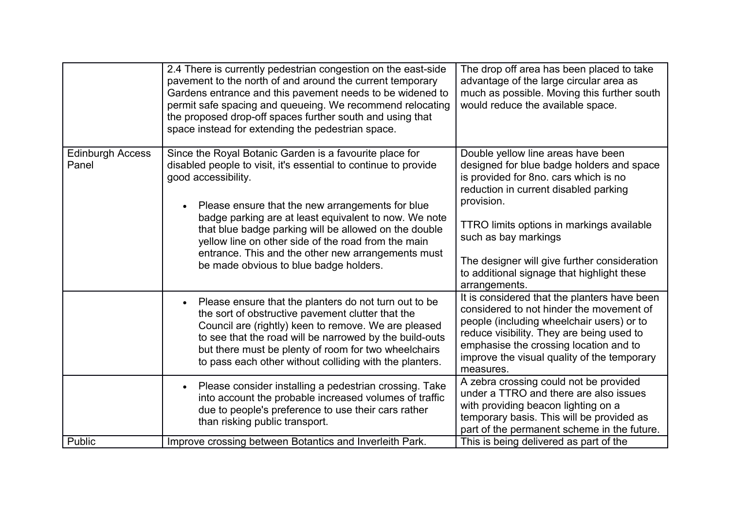|                                  | 2.4 There is currently pedestrian congestion on the east-side<br>pavement to the north of and around the current temporary<br>Gardens entrance and this pavement needs to be widened to<br>permit safe spacing and queueing. We recommend relocating<br>the proposed drop-off spaces further south and using that<br>space instead for extending the pedestrian space.                                                                                                         | The drop off area has been placed to take<br>advantage of the large circular area as<br>much as possible. Moving this further south<br>would reduce the available space.                                                                                                                                                                                            |
|----------------------------------|--------------------------------------------------------------------------------------------------------------------------------------------------------------------------------------------------------------------------------------------------------------------------------------------------------------------------------------------------------------------------------------------------------------------------------------------------------------------------------|---------------------------------------------------------------------------------------------------------------------------------------------------------------------------------------------------------------------------------------------------------------------------------------------------------------------------------------------------------------------|
| <b>Edinburgh Access</b><br>Panel | Since the Royal Botanic Garden is a favourite place for<br>disabled people to visit, it's essential to continue to provide<br>good accessibility.<br>Please ensure that the new arrangements for blue<br>badge parking are at least equivalent to now. We note<br>that blue badge parking will be allowed on the double<br>yellow line on other side of the road from the main<br>entrance. This and the other new arrangements must<br>be made obvious to blue badge holders. | Double yellow line areas have been<br>designed for blue badge holders and space<br>is provided for 8no. cars which is no<br>reduction in current disabled parking<br>provision.<br>TTRO limits options in markings available<br>such as bay markings<br>The designer will give further consideration<br>to additional signage that highlight these<br>arrangements. |
|                                  | Please ensure that the planters do not turn out to be<br>the sort of obstructive pavement clutter that the<br>Council are (rightly) keen to remove. We are pleased<br>to see that the road will be narrowed by the build-outs<br>but there must be plenty of room for two wheelchairs<br>to pass each other without colliding with the planters.                                                                                                                               | It is considered that the planters have been<br>considered to not hinder the movement of<br>people (including wheelchair users) or to<br>reduce visibility. They are being used to<br>emphasise the crossing location and to<br>improve the visual quality of the temporary<br>measures.                                                                            |
| Public                           | Please consider installing a pedestrian crossing. Take<br>$\bullet$<br>into account the probable increased volumes of traffic<br>due to people's preference to use their cars rather<br>than risking public transport.<br>Improve crossing between Botantics and Inverleith Park.                                                                                                                                                                                              | A zebra crossing could not be provided<br>under a TTRO and there are also issues<br>with providing beacon lighting on a<br>temporary basis. This will be provided as<br>part of the permanent scheme in the future.<br>This is being delivered as part of the                                                                                                       |
|                                  |                                                                                                                                                                                                                                                                                                                                                                                                                                                                                |                                                                                                                                                                                                                                                                                                                                                                     |